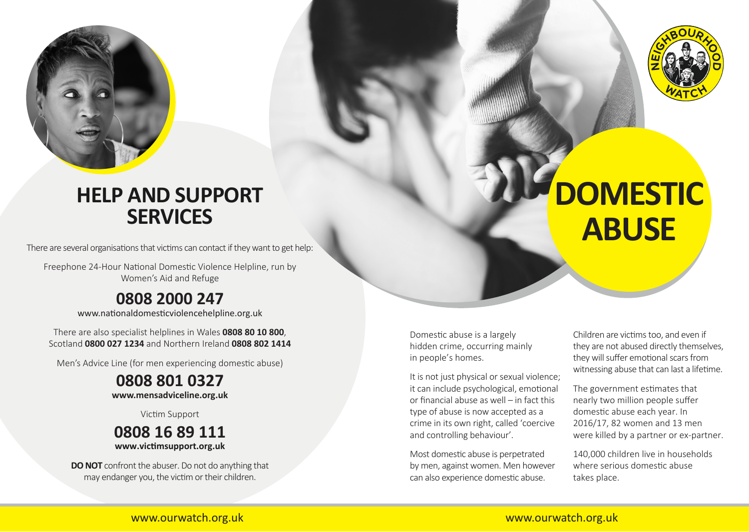

# **HELP AND SUPPORT SERVICES**

There are several organisations that victims can contact if they want to get help:

Freephone 24-Hour National Domestic Violence Helpline, run by Women's Aid and Refuge

## **0808 2000 247**

www.nationaldomesticviolencehelpline.org.uk

There are also specialist helplines in Wales **0808 80 10 800**, Scotland **0800 027 1234** and Northern Ireland **0808 802 1414**

Men's Advice Line (for men experiencing domestic abuse)

# **0808 801 0327**

**www.mensadviceline.org.uk**

Victim Support

## **0808 16 89 111 www.victimsupport.org.uk**

**DO NOT** confront the abuser. Do not do anything that may endanger you, the victim or their children.



# **ZDOMESTIC ABUSE**

Domestic abuse is a largely hidden crime, occurring mainly in people's homes.

It is not just physical or sexual violence; it can include psychological, emotional or financial abuse as well – in fact this type of abuse is now accepted as a crime in its own right, called 'coercive and controlling behaviour'.

Most domestic abuse is perpetrated by men, against women. Men however can also experience domestic abuse.

Children are victims too, and even if they are not abused directly themselves, they will suffer emotional scars from witnessing abuse that can last a lifetime.

The government estimates that nearly two million people suffer domestic abuse each year. In 2016/17, 82 women and 13 men were killed by a partner or ex-partner.

140,000 children live in households where serious domestic abuse takes place.

## www.ourwatch.org.uk www.ourwatch.org.uk